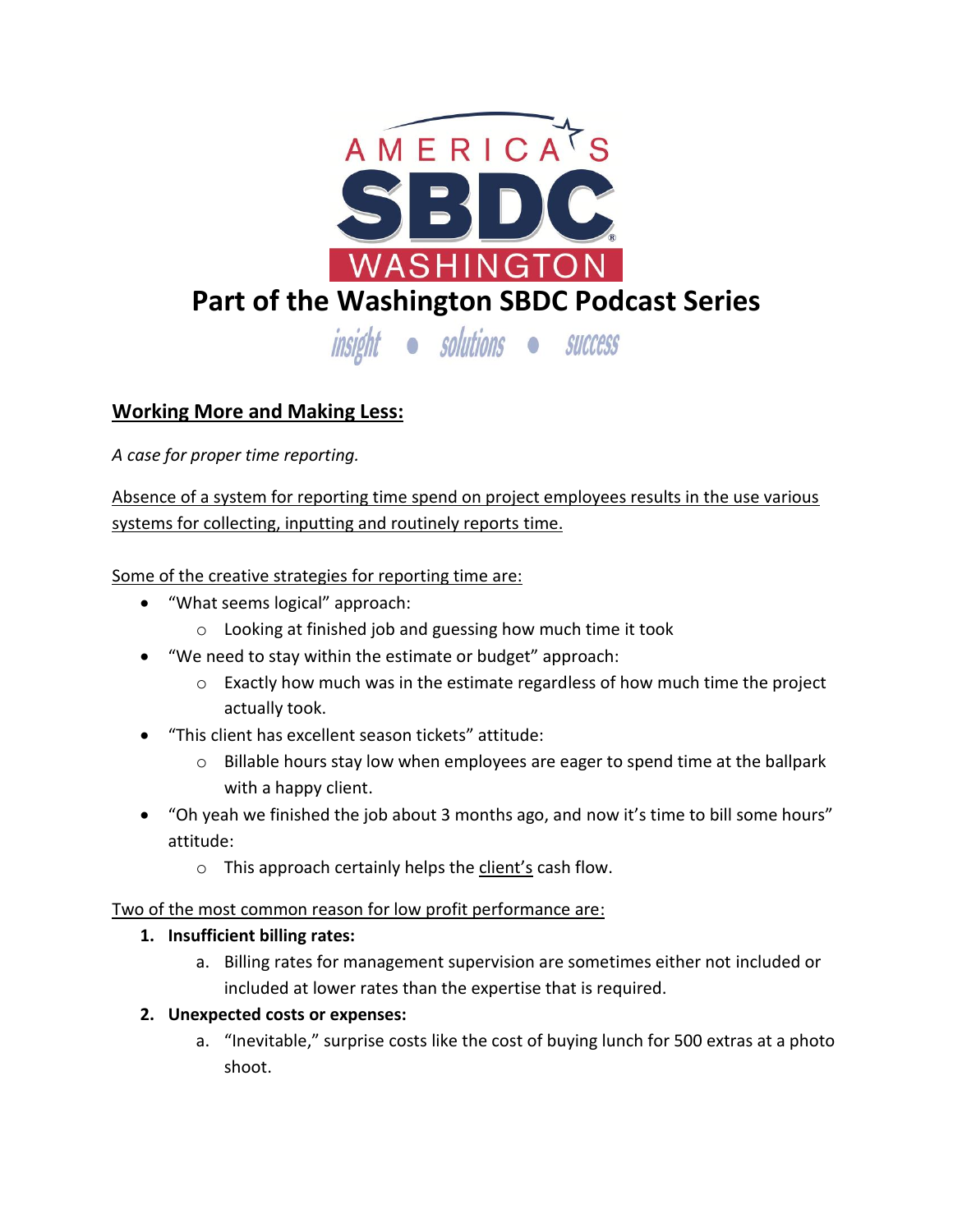

## **Working More and Making Less:**

*A case for proper time reporting.*

Absence of a system for reporting time spend on project employees results in the use various systems for collecting, inputting and routinely reports time.

Some of the creative strategies for reporting time are:

- "What seems logical" approach:
	- o Looking at finished job and guessing how much time it took
- "We need to stay within the estimate or budget" approach:
	- $\circ$  Exactly how much was in the estimate regardless of how much time the project actually took.
- "This client has excellent season tickets" attitude:
	- o Billable hours stay low when employees are eager to spend time at the ballpark with a happy client.
- "Oh yeah we finished the job about 3 months ago, and now it's time to bill some hours" attitude:
	- o This approach certainly helps the client's cash flow.

Two of the most common reason for low profit performance are:

## **1. Insufficient billing rates:**

- a. Billing rates for management supervision are sometimes either not included or included at lower rates than the expertise that is required.
- **2. Unexpected costs or expenses:** 
	- a. "Inevitable," surprise costs like the cost of buying lunch for 500 extras at a photo shoot.